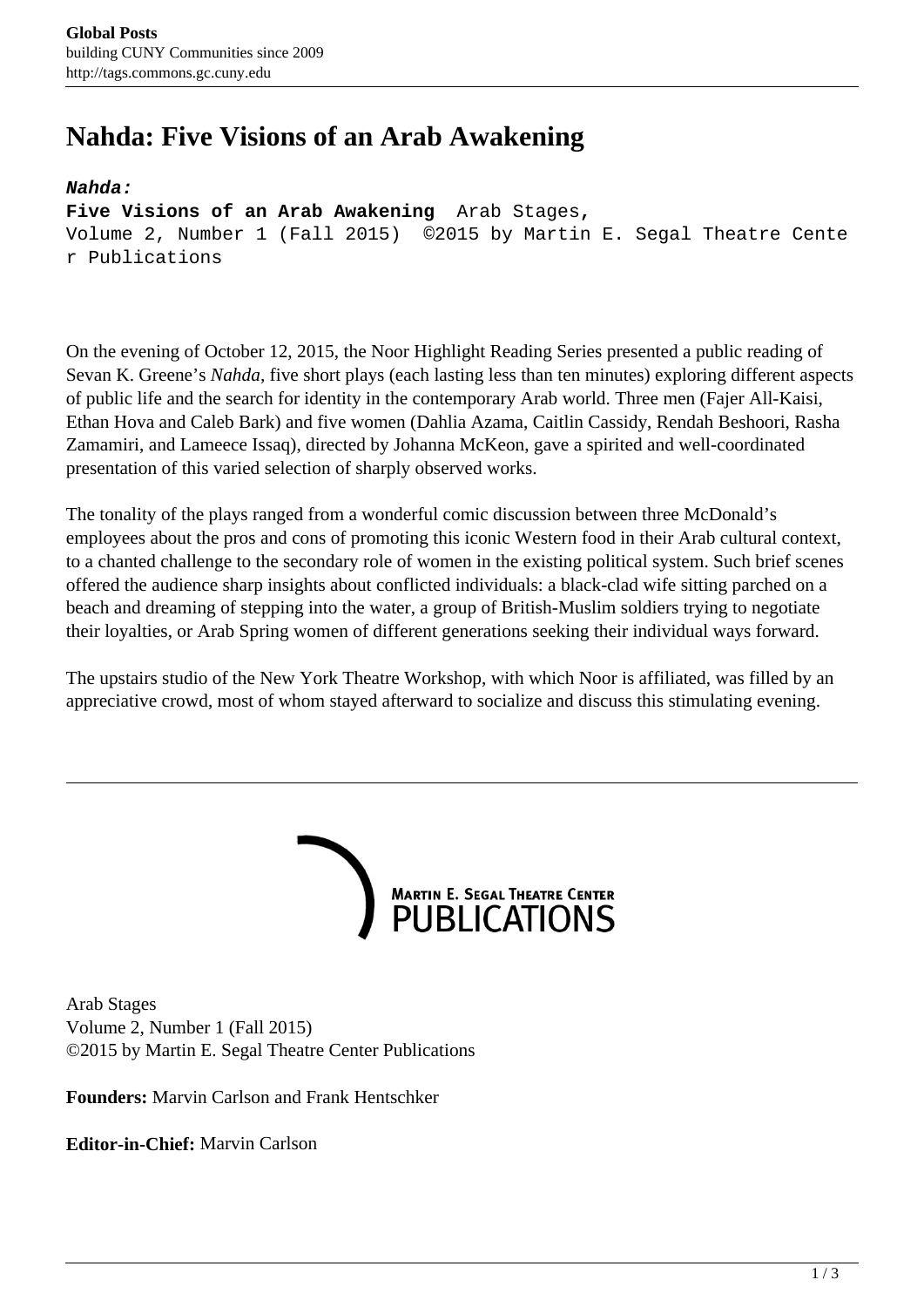# **Nahda: Five Visions of an Arab Awakening**

#### **Nahda:**

**Five Visions of an Arab Awakening** Arab Stages**,** 

Volume 2, Number 1 (Fall 2015) ©2015 by Martin E. Segal Theatre Cente r Publications

On the evening of October 12, 2015, the Noor Highlight Reading Series presented a public reading of Sevan K. Greene's *Nahda,* five short plays (each lasting less than ten minutes) exploring different aspects of public life and the search for identity in the contemporary Arab world. Three men (Fajer All-Kaisi, Ethan Hova and Caleb Bark) and five women (Dahlia Azama, Caitlin Cassidy, Rendah Beshoori, Rasha Zamamiri, and Lameece Issaq), directed by Johanna McKeon, gave a spirited and well-coordinated presentation of this varied selection of sharply observed works.

The tonality of the plays ranged from a wonderful comic discussion between three McDonald's employees about the pros and cons of promoting this iconic Western food in their Arab cultural context, to a chanted challenge to the secondary role of women in the existing political system. Such brief scenes offered the audience sharp insights about conflicted individuals: a black-clad wife sitting parched on a beach and dreaming of stepping into the water, a group of British-Muslim soldiers trying to negotiate their loyalties, or Arab Spring women of different generations seeking their individual ways forward.

The upstairs studio of the New York Theatre Workshop, with which Noor is affiliated, was filled by an appreciative crowd, most of whom stayed afterward to socialize and discuss this stimulating evening.



Arab Stages Volume 2, Number 1 (Fall 2015) ©2015 by Martin E. Segal Theatre Center Publications

**Founders:** Marvin Carlson and Frank Hentschker

**Editor-in-Chief:** Marvin Carlson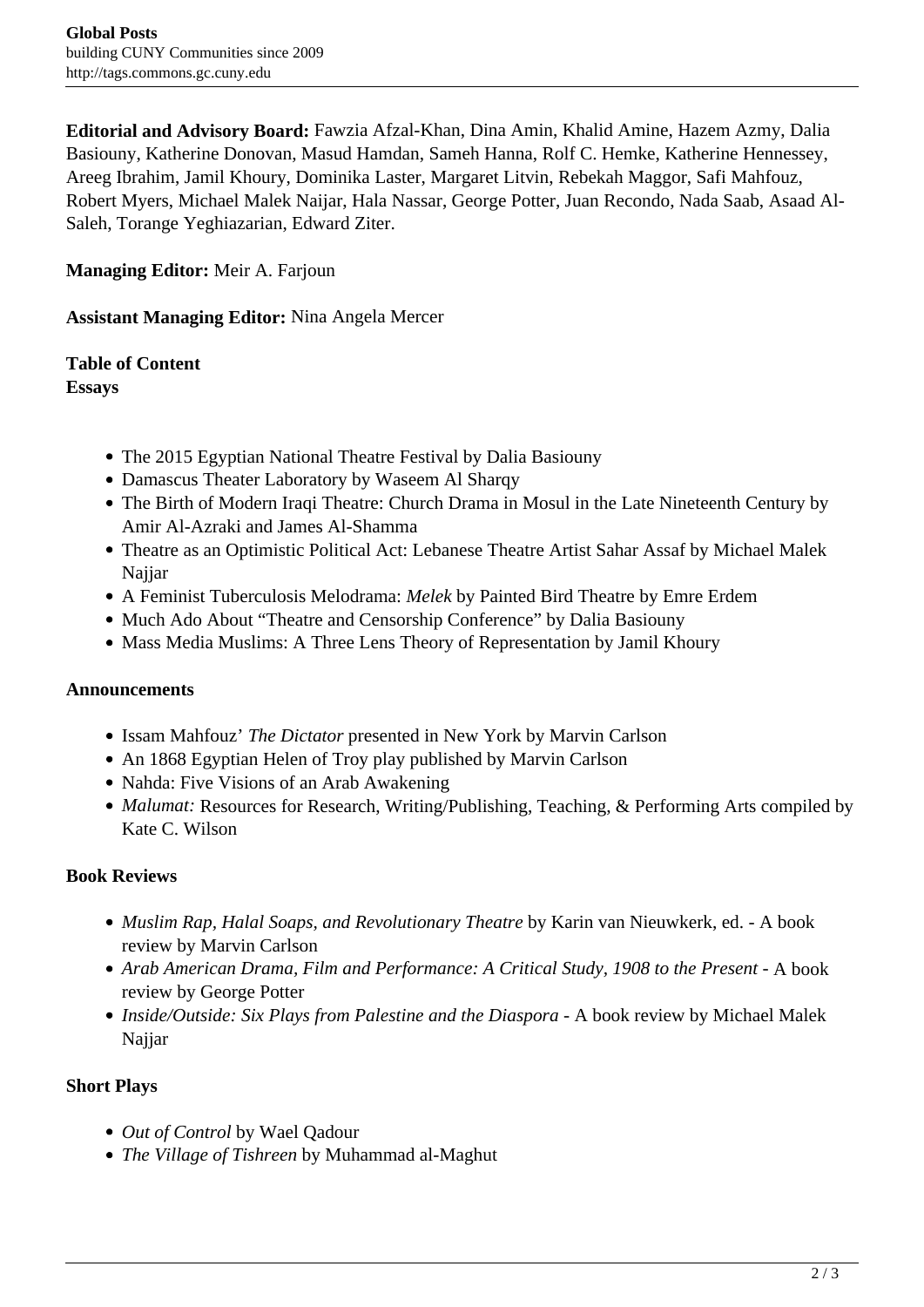**Editorial and Advisory Board:** Fawzia Afzal-Khan, Dina Amin, Khalid Amine, Hazem Azmy, Dalia Basiouny, Katherine Donovan, Masud Hamdan, Sameh Hanna, Rolf C. Hemke, Katherine Hennessey, Areeg Ibrahim, Jamil Khoury, Dominika Laster, Margaret Litvin, Rebekah Maggor, Safi Mahfouz, Robert Myers, Michael Malek Naijar, Hala Nassar, George Potter, Juan Recondo, Nada Saab, Asaad Al-Saleh, Torange Yeghiazarian, Edward Ziter.

**Managing Editor:** Meir A. Farjoun

**Assistant Managing Editor:** Nina Angela Mercer

# **Table of Content**

**Essays**

- The 2015 Egyptian National Theatre Festival by Dalia Basiouny
- Damascus Theater Laboratory by Waseem Al Sharqy
- The Birth of Modern Iraqi Theatre: Church Drama in Mosul in the Late Nineteenth Century by Amir Al-Azraki and James Al-Shamma
- Theatre as an Optimistic Political Act: Lebanese Theatre Artist Sahar Assaf by Michael Malek Najjar
- A Feminist Tuberculosis Melodrama: *Melek* by Painted Bird Theatre by Emre Erdem
- Much Ado About "Theatre and Censorship Conference" by Dalia Basiouny
- Mass Media Muslims: A Three Lens Theory of Representation by Jamil Khoury

#### **Announcements**

- Issam Mahfouz' *The Dictator* presented in New York by Marvin Carlson
- An 1868 Egyptian Helen of Troy play published by Marvin Carlson
- Nahda: Five Visions of an Arab Awakening
- *Malumat:* Resources for Research, Writing/Publishing, Teaching, & Performing Arts compiled by Kate C. Wilson

## **Book Reviews**

- *Muslim Rap, Halal Soaps, and Revolutionary Theatre* by Karin van Nieuwkerk, ed. A book review by Marvin Carlson
- Arab American Drama, Film and Performance: A Critical Study, 1908 to the Present A book review by George Potter
- *Inside/Outside: Six Plays from Palestine and the Diaspora A book review by Michael Malek* Najjar

## **Short Plays**

- *Out of Control* by Wael Qadour
- *The Village of Tishreen* by Muhammad al-Maghut